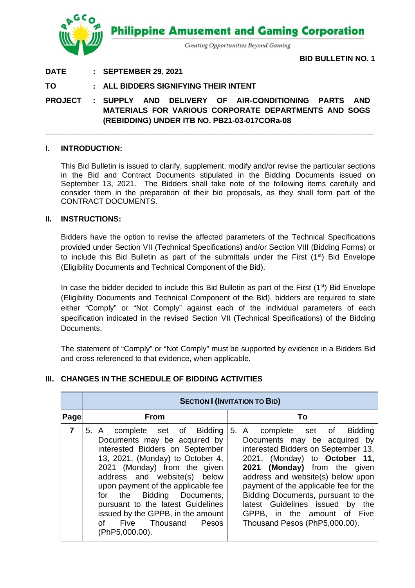

## **DATE : SEPTEMBER 29, 2021**

**BID BULLETIN NO. 1**

## **TO : ALL BIDDERS SIGNIFYING THEIR INTENT**

**PROJECT : SUPPLY AND DELIVERY OF AIR-CONDITIONING PARTS AND MATERIALS FOR VARIOUS CORPORATE DEPARTMENTS AND SOGS (REBIDDING) UNDER ITB NO. PB21-03-017CORa-08**

**\_\_\_\_\_\_\_\_\_\_\_\_\_\_\_\_\_\_\_\_\_\_\_\_\_\_\_\_\_\_\_\_\_\_\_\_\_\_\_\_\_\_\_\_\_\_\_\_\_\_\_\_\_\_\_\_\_\_\_\_\_\_\_\_\_\_\_\_\_\_\_\_\_\_\_\_\_**

### **I. INTRODUCTION:**

This Bid Bulletin is issued to clarify, supplement, modify and/or revise the particular sections in the Bid and Contract Documents stipulated in the Bidding Documents issued on September 13, 2021. The Bidders shall take note of the following items carefully and consider them in the preparation of their bid proposals, as they shall form part of the CONTRACT DOCUMENTS.

#### **II. INSTRUCTIONS:**

Bidders have the option to revise the affected parameters of the Technical Specifications provided under Section VII (Technical Specifications) and/or Section VIII (Bidding Forms) or to include this Bid Bulletin as part of the submittals under the First  $(1<sup>st</sup>)$  Bid Envelope (Eligibility Documents and Technical Component of the Bid).

In case the bidder decided to include this Bid Bulletin as part of the First  $(1<sup>st</sup>)$  Bid Envelope (Eligibility Documents and Technical Component of the Bid), bidders are required to state either "Comply" or "Not Comply" against each of the individual parameters of each specification indicated in the revised Section VII (Technical Specifications) of the Bidding Documents.

The statement of "Comply" or "Not Comply" must be supported by evidence in a Bidders Bid and cross referenced to that evidence, when applicable.

## **III. CHANGES IN THE SCHEDULE OF BIDDING ACTIVITIES**

|             | <b>SECTION I (INVITATION TO BID)</b>                                                                                                                                                                                                                                                                                                                                                                |                                                                                                                                                                                                                                                                                                                                                                                                    |  |  |  |  |
|-------------|-----------------------------------------------------------------------------------------------------------------------------------------------------------------------------------------------------------------------------------------------------------------------------------------------------------------------------------------------------------------------------------------------------|----------------------------------------------------------------------------------------------------------------------------------------------------------------------------------------------------------------------------------------------------------------------------------------------------------------------------------------------------------------------------------------------------|--|--|--|--|
| <b>Page</b> | <b>From</b>                                                                                                                                                                                                                                                                                                                                                                                         | To                                                                                                                                                                                                                                                                                                                                                                                                 |  |  |  |  |
| 7           | 5. A complete set of Bidding<br>Documents may be acquired by<br>interested Bidders on September<br>13, 2021, (Monday) to October 4,<br>2021 (Monday) from the given<br>address and website(s) below<br>upon payment of the applicable fee<br>for the Bidding Documents,<br>pursuant to the latest Guidelines<br>issued by the GPPB, in the amount<br>Five Thousand<br>∩f<br>Pesos<br>(PhP5,000.00). | 5. A complete set of Bidding<br>Documents may be acquired by<br>interested Bidders on September 13,<br>2021, (Monday) to <b>October 11,</b><br>2021 (Monday) from the given<br>address and website(s) below upon<br>payment of the applicable fee for the<br>Bidding Documents, pursuant to the<br>latest Guidelines issued by the<br>GPPB, in the amount of Five<br>Thousand Pesos (PhP5,000.00). |  |  |  |  |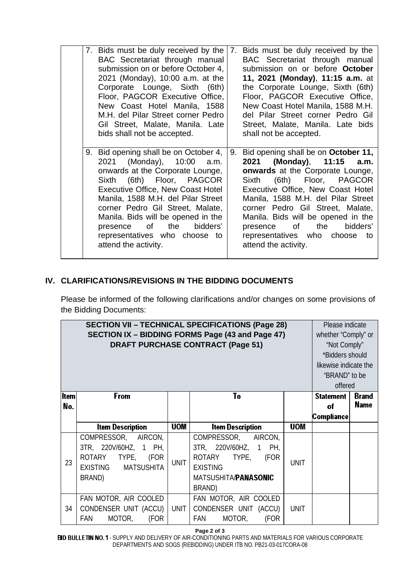| 7. Bids must be duly received by the 7. Bids must be duly received by the<br>BAC Secretariat through manual<br>submission on or before October 4,<br>2021 (Monday), 10:00 a.m. at the<br>Corporate Lounge, Sixth (6th)<br>Floor, PAGCOR Executive Office,<br>New Coast Hotel Manila, 1588<br>M.H. del Pilar Street corner Pedro<br>Gil Street, Malate, Manila. Late<br>bids shall not be accepted. |                                                                                                                                                                                                                                                                                                                                                                                                           |    | BAC Secretariat through manual<br>submission on or before October<br>11, 2021 (Monday), 11:15 a.m. at<br>the Corporate Lounge, Sixth (6th)<br>Floor, PAGCOR Executive Office,<br>New Coast Hotel Manila, 1588 M.H.<br>del Pilar Street corner Pedro Gil<br>Street, Malate, Manila. Late bids<br>shall not be accepted.                                                                  |  |  |  |
|----------------------------------------------------------------------------------------------------------------------------------------------------------------------------------------------------------------------------------------------------------------------------------------------------------------------------------------------------------------------------------------------------|-----------------------------------------------------------------------------------------------------------------------------------------------------------------------------------------------------------------------------------------------------------------------------------------------------------------------------------------------------------------------------------------------------------|----|-----------------------------------------------------------------------------------------------------------------------------------------------------------------------------------------------------------------------------------------------------------------------------------------------------------------------------------------------------------------------------------------|--|--|--|
|                                                                                                                                                                                                                                                                                                                                                                                                    | 9. Bid opening shall be on October 4,<br>2021 (Monday), 10:00 a.m.<br>onwards at the Corporate Lounge,<br>Sixth (6th) Floor, PAGCOR<br><b>Executive Office, New Coast Hotel</b><br>Manila, 1588 M.H. del Pilar Street<br>corner Pedro Gil Street, Malate,<br>Manila. Bids will be opened in the<br>of the control<br>the<br>bidders'<br>presence<br>representatives who choose to<br>attend the activity. | 9. | Bid opening shall be on October 11,<br>2021 (Monday), 11:15<br>a.m.<br>onwards at the Corporate Lounge,<br>Sixth (6th) Floor, PAGCOR<br>Executive Office, New Coast Hotel<br>Manila, 1588 M.H. del Pilar Street<br>corner Pedro Gil Street, Malate,<br>Manila. Bids will be opened in the<br>presence of<br>the<br>bidders'<br>representatives who choose<br>to<br>attend the activity. |  |  |  |

# **IV. CLARIFICATIONS/REVISIONS IN THE BIDDING DOCUMENTS**

Please be informed of the following clarifications and/or changes on some provisions of the Bidding Documents:

| <b>SECTION VII - TECHNICAL SPECIFICATIONS (Page 28)</b><br>SECTION IX - BIDDING FORMS Page (43 and Page 47)<br><b>DRAFT PURCHASE CONTRACT (Page 51)</b> |                                                                                                                                            |             |                                                                                                                                                              |             |                                             | Please indicate<br>whether "Comply" or<br>"Not Comply"<br>*Bidders should<br>likewise indicate the<br>"BRAND" to be<br>offered |  |
|---------------------------------------------------------------------------------------------------------------------------------------------------------|--------------------------------------------------------------------------------------------------------------------------------------------|-------------|--------------------------------------------------------------------------------------------------------------------------------------------------------------|-------------|---------------------------------------------|--------------------------------------------------------------------------------------------------------------------------------|--|
| ltem<br>No.                                                                                                                                             | From                                                                                                                                       | <b>UOM</b>  | To                                                                                                                                                           | <b>UOM</b>  | <b>Statement</b><br>of<br><b>Compliance</b> | <b>Brand</b><br><b>Name</b>                                                                                                    |  |
| 23                                                                                                                                                      | <b>Item Description</b><br>COMPRESSOR, AIRCON,<br>3TR, 220V/60HZ, 1 PH,<br>ROTARY TYPE,<br>(FOR<br><b>EXISTING</b><br>MATSUSHITA<br>BRAND) | <b>UNIT</b> | <b>Item Description</b><br>COMPRESSOR, AIRCON,<br>3TR, 220V/60HZ, 1 PH,<br>ROTARY TYPE,<br>(FOR<br><b>EXISTING</b><br>MATSUSHITA/ <b>PANASONIC</b><br>BRAND) | <b>UNIT</b> |                                             |                                                                                                                                |  |
| 34                                                                                                                                                      | FAN MOTOR, AIR COOLED<br>CONDENSER UNIT (ACCU)<br><b>FAN</b><br>MOTOR,<br>(FOR                                                             | <b>UNIT</b> | FAN MOTOR, AIR COOLED<br>CONDENSER UNIT (ACCU)<br>MOTOR,<br><b>FAN</b><br>(FOR                                                                               | <b>UNIT</b> |                                             |                                                                                                                                |  |

**Page 2 of 3**

- SUPPLY AND DELIVERY OF AIR-CONDITIONING PARTS AND MATERIALS FOR VARIOUS CORPORATE DEPARTMENTS AND SOGS (REBIDDING) UNDER ITB NO. PB21-03-017CORA-08